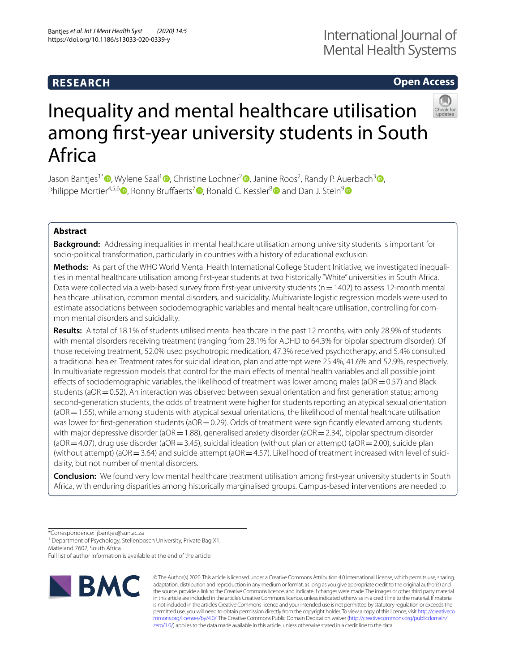# **RESEARCH**

## **Open Access**



# Inequality and mental healthcare utilisation among frst-year university students in South Africa

Jason Bantjes<sup>1\*</sup>®[,](http://orcid.org/0000-0002-4766-3704) Wylene Saal<sup>1</sup>®, Christine Lochner<sup>2</sup>®, Janine Roos<sup>2</sup>, Randy P. Auerbach<sup>[3](http://orcid.org/0000-0003-2319-4744)</sup>®, Philippe Mortier<sup>4,5,6</sup> [,](http://orcid.org/0000-0002-0330-3694) Ronny Bruffaerts<sup>7</sup> , Ronald C. Kessler<sup>8</sup> and Dan J. Stein<sup>[9](http://orcid.org/0000-0001-7218-7810)</sup>

## **Abstract**

**Background:** Addressing inequalities in mental healthcare utilisation among university students is important for socio-political transformation, particularly in countries with a history of educational exclusion.

**Methods:** As part of the WHO World Mental Health International College Student Initiative, we investigated inequalities in mental healthcare utilisation among frst-year students at two historically "White" universities in South Africa. Data were collected via a web-based survey from first-year university students (n=1402) to assess 12-month mental healthcare utilisation, common mental disorders, and suicidality. Multivariate logistic regression models were used to estimate associations between sociodemographic variables and mental healthcare utilisation, controlling for common mental disorders and suicidality.

**Results:** A total of 18.1% of students utilised mental healthcare in the past 12 months, with only 28.9% of students with mental disorders receiving treatment (ranging from 28.1% for ADHD to 64.3% for bipolar spectrum disorder). Of those receiving treatment, 52.0% used psychotropic medication, 47.3% received psychotherapy, and 5.4% consulted a traditional healer. Treatment rates for suicidal ideation, plan and attempt were 25.4%, 41.6% and 52.9%, respectively. In multivariate regression models that control for the main efects of mental health variables and all possible joint effects of sociodemographic variables, the likelihood of treatment was lower among males ( $aOR = 0.57$ ) and Black students (aOR=0.52). An interaction was observed between sexual orientation and first generation status; among second-generation students, the odds of treatment were higher for students reporting an atypical sexual orientation (aOR = 1.55), while among students with atypical sexual orientations, the likelihood of mental healthcare utilisation was lower for first-generation students ( $aOR = 0.29$ ). Odds of treatment were significantly elevated among students with major depressive disorder (aOR=1.88), generalised anxiety disorder (aOR=2.34), bipolar spectrum disorder  $(aOR=4.07)$ , drug use disorder (aOR = 3.45), suicidal ideation (without plan or attempt) (aOR = 2.00), suicide plan (without attempt) ( $aOR = 3.64$ ) and suicide attempt ( $aOR = 4.57$ ). Likelihood of treatment increased with level of suicidality, but not number of mental disorders.

**Conclusion:** We found very low mental healthcare treatment utilisation among frst-year university students in South Africa, with enduring disparities among historically marginalised groups. Campus-based **i**nterventions are needed to

\*Correspondence: jbantjes@sun.ac.za

<sup>1</sup> Department of Psychology, Stellenbosch University, Private Bag X1, Matieland 7602, South Africa

Full list of author information is available at the end of the article



© The Author(s) 2020. This article is licensed under a Creative Commons Attribution 4.0 International License, which permits use, sharing, adaptation, distribution and reproduction in any medium or format, as long as you give appropriate credit to the original author(s) and the source, provide a link to the Creative Commons licence, and indicate if changes were made. The images or other third party material in this article are included in the article's Creative Commons licence, unless indicated otherwise in a credit line to the material. If material is not included in the article's Creative Commons licence and your intended use is not permitted by statutory regulation or exceeds the permitted use, you will need to obtain permission directly from the copyright holder. To view a copy of this licence, visit [http://creativeco](http://creativecommons.org/licenses/by/4.0/) [mmons.org/licenses/by/4.0/.](http://creativecommons.org/licenses/by/4.0/) The Creative Commons Public Domain Dedication waiver ([http://creativecommons.org/publicdomain/](http://creativecommons.org/publicdomain/zero/1.0/) [zero/1.0/\)](http://creativecommons.org/publicdomain/zero/1.0/) applies to the data made available in this article, unless otherwise stated in a credit line to the data.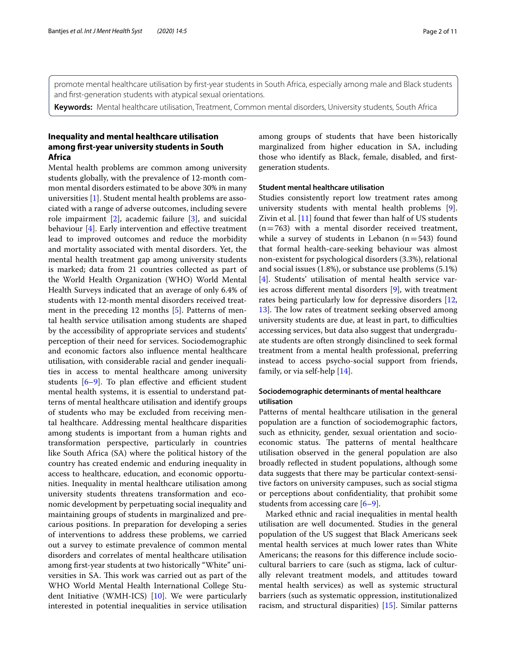promote mental healthcare utilisation by frst-year students in South Africa, especially among male and Black students and frst-generation students with atypical sexual orientations.

**Keywords:** Mental healthcare utilisation, Treatment, Common mental disorders, University students, South Africa

## **Inequality and mental healthcare utilisation among frst‑year university students in South Africa**

Mental health problems are common among university students globally, with the prevalence of 12-month common mental disorders estimated to be above 30% in many universities [[1\]](#page-9-0). Student mental health problems are associated with a range of adverse outcomes, including severe role impairment [\[2](#page-9-1)], academic failure [[3\]](#page-9-2), and suicidal behaviour [[4\]](#page-10-0). Early intervention and effective treatment lead to improved outcomes and reduce the morbidity and mortality associated with mental disorders. Yet, the mental health treatment gap among university students is marked; data from 21 countries collected as part of the World Health Organization (WHO) World Mental Health Surveys indicated that an average of only 6.4% of students with 12-month mental disorders received treatment in the preceding 12 months [[5\]](#page-10-1). Patterns of mental health service utilisation among students are shaped by the accessibility of appropriate services and students' perception of their need for services. Sociodemographic and economic factors also infuence mental healthcare utilisation, with considerable racial and gender inequalities in access to mental healthcare among university students  $[6-9]$  $[6-9]$ . To plan effective and efficient student mental health systems, it is essential to understand patterns of mental healthcare utilisation and identify groups of students who may be excluded from receiving mental healthcare. Addressing mental healthcare disparities among students is important from a human rights and transformation perspective, particularly in countries like South Africa (SA) where the political history of the country has created endemic and enduring inequality in access to healthcare, education, and economic opportunities. Inequality in mental healthcare utilisation among university students threatens transformation and economic development by perpetuating social inequality and maintaining groups of students in marginalized and precarious positions. In preparation for developing a series of interventions to address these problems, we carried out a survey to estimate prevalence of common mental disorders and correlates of mental healthcare utilisation among frst-year students at two historically "White" universities in SA. This work was carried out as part of the WHO World Mental Health International College Student Initiative (WMH-ICS) [[10\]](#page-10-4). We were particularly interested in potential inequalities in service utilisation among groups of students that have been historically marginalized from higher education in SA, including those who identify as Black, female, disabled, and frstgeneration students.

## **Student mental healthcare utilisation**

Studies consistently report low treatment rates among university students with mental health problems [\[9](#page-10-3)]. Zivin et al. [\[11](#page-10-5)] found that fewer than half of US students  $(n=763)$  with a mental disorder received treatment, while a survey of students in Lebanon  $(n=543)$  found that formal health-care-seeking behaviour was almost non-existent for psychological disorders (3.3%), relational and social issues (1.8%), or substance use problems (5.1%) [[4\]](#page-10-0). Students' utilisation of mental health service varies across diferent mental disorders [[9\]](#page-10-3), with treatment rates being particularly low for depressive disorders [[12](#page-10-6), [13\]](#page-10-7). The low rates of treatment seeking observed among university students are due, at least in part, to difficulties accessing services, but data also suggest that undergraduate students are often strongly disinclined to seek formal treatment from a mental health professional, preferring instead to access psycho-social support from friends, family, or via self-help [[14\]](#page-10-8).

## **Sociodemographic determinants of mental healthcare utilisation**

Patterns of mental healthcare utilisation in the general population are a function of sociodemographic factors, such as ethnicity, gender, sexual orientation and socioeconomic status. The patterns of mental healthcare utilisation observed in the general population are also broadly refected in student populations, although some data suggests that there may be particular context-sensitive factors on university campuses, such as social stigma or perceptions about confdentiality, that prohibit some students from accessing care [\[6–](#page-10-2)[9\]](#page-10-3).

Marked ethnic and racial inequalities in mental health utilisation are well documented. Studies in the general population of the US suggest that Black Americans seek mental health services at much lower rates than White Americans; the reasons for this diference include sociocultural barriers to care (such as stigma, lack of culturally relevant treatment models, and attitudes toward mental health services) as well as systemic structural barriers (such as systematic oppression, institutionalized racism, and structural disparities) [[15\]](#page-10-9). Similar patterns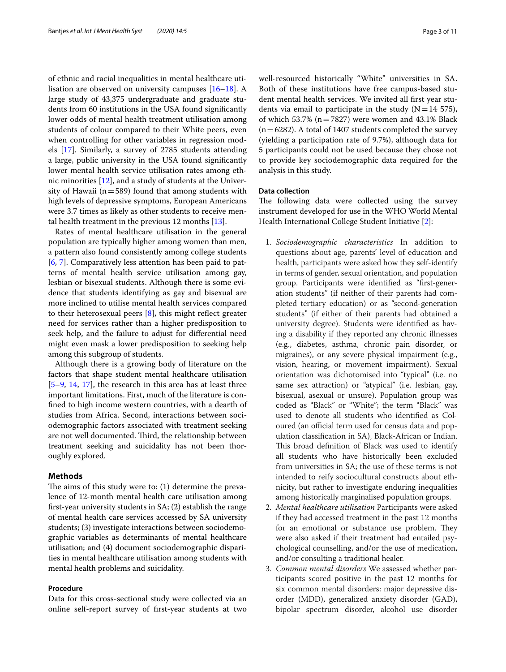of ethnic and racial inequalities in mental healthcare utilisation are observed on university campuses [\[16](#page-10-10)[–18\]](#page-10-11). A large study of 43,375 undergraduate and graduate students from 60 institutions in the USA found signifcantly lower odds of mental health treatment utilisation among students of colour compared to their White peers, even when controlling for other variables in regression models [[17\]](#page-10-12). Similarly, a survey of 2785 students attending a large, public university in the USA found signifcantly lower mental health service utilisation rates among ethnic minorities [\[12](#page-10-6)], and a study of students at the University of Hawaii ( $n=589$ ) found that among students with high levels of depressive symptoms, European Americans were 3.7 times as likely as other students to receive mental health treatment in the previous 12 months [[13\]](#page-10-7).

Rates of mental healthcare utilisation in the general population are typically higher among women than men, a pattern also found consistently among college students [[6,](#page-10-2) [7\]](#page-10-13). Comparatively less attention has been paid to patterns of mental health service utilisation among gay, lesbian or bisexual students. Although there is some evidence that students identifying as gay and bisexual are more inclined to utilise mental health services compared to their heterosexual peers  $[8]$  $[8]$ , this might reflect greater need for services rather than a higher predisposition to seek help, and the failure to adjust for diferential need might even mask a lower predisposition to seeking help among this subgroup of students.

Although there is a growing body of literature on the factors that shape student mental healthcare utilisation [[5–](#page-10-1)[9,](#page-10-3) [14](#page-10-8), [17](#page-10-12)], the research in this area has at least three important limitations. First, much of the literature is confned to high income western countries, with a dearth of studies from Africa. Second, interactions between sociodemographic factors associated with treatment seeking are not well documented. Third, the relationship between treatment seeking and suicidality has not been thoroughly explored.

## **Methods**

The aims of this study were to:  $(1)$  determine the prevalence of 12-month mental health care utilisation among frst-year university students in SA; (2) establish the range of mental health care services accessed by SA university students; (3) investigate interactions between sociodemographic variables as determinants of mental healthcare utilisation; and (4) document sociodemographic disparities in mental healthcare utilisation among students with mental health problems and suicidality.

#### **Procedure**

Data for this cross-sectional study were collected via an online self-report survey of frst-year students at two well-resourced historically "White" universities in SA. Both of these institutions have free campus-based student mental health services. We invited all frst year students via email to participate in the study  $(N=14 575)$ , of which 53.7% ( $n=7827$ ) were women and 43.1% Black  $(n=6282)$ . A total of 1407 students completed the survey (yielding a participation rate of 9.7%), although data for 5 participants could not be used because they chose not to provide key sociodemographic data required for the analysis in this study.

## **Data collection**

The following data were collected using the survey instrument developed for use in the WHO World Mental Health International College Student Initiative [[2\]](#page-9-1):

- 1. *Sociodemographic characteristics* In addition to questions about age, parents' level of education and health, participants were asked how they self-identify in terms of gender, sexual orientation, and population group. Participants were identifed as "frst-generation students" (if neither of their parents had completed tertiary education) or as "second-generation students" (if either of their parents had obtained a university degree). Students were identifed as having a disability if they reported any chronic illnesses (e.g., diabetes, asthma, chronic pain disorder, or migraines), or any severe physical impairment (e.g., vision, hearing, or movement impairment). Sexual orientation was dichotomised into "typical" (i.e. no same sex attraction) or "atypical" (i.e. lesbian, gay, bisexual, asexual or unsure). Population group was coded as "Black" or "White"; the term "Black" was used to denote all students who identifed as Coloured (an official term used for census data and population classifcation in SA), Black-African or Indian. This broad definition of Black was used to identify all students who have historically been excluded from universities in SA; the use of these terms is not intended to reify sociocultural constructs about ethnicity, but rather to investigate enduring inequalities among historically marginalised population groups.
- 2. *Mental healthcare utilisation* Participants were asked if they had accessed treatment in the past 12 months for an emotional or substance use problem. They were also asked if their treatment had entailed psychological counselling, and/or the use of medication, and/or consulting a traditional healer.
- 3. *Common mental disorders* We assessed whether participants scored positive in the past 12 months for six common mental disorders: major depressive disorder (MDD), generalized anxiety disorder (GAD), bipolar spectrum disorder, alcohol use disorder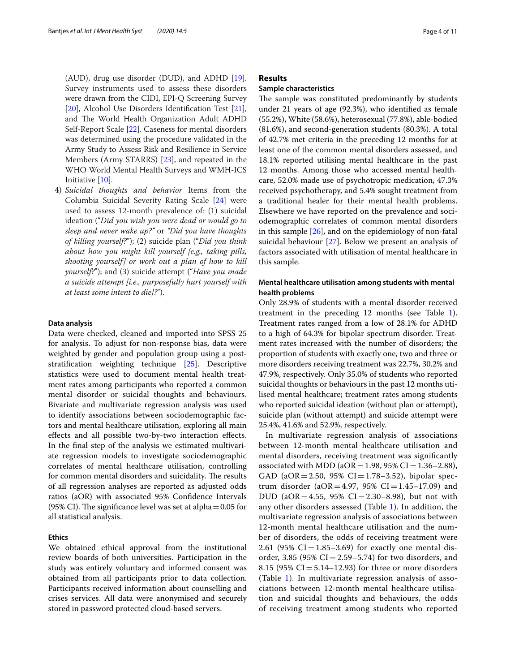(AUD), drug use disorder (DUD), and ADHD [[19](#page-10-15)]. Survey instruments used to assess these disorders were drawn from the CIDI, EPI-Q Screening Survey [[20\]](#page-10-16), Alcohol Use Disorders Identifcation Test [[21](#page-10-17)], and The World Health Organization Adult ADHD Self-Report Scale [[22](#page-10-18)]. Caseness for mental disorders was determined using the procedure validated in the Army Study to Assess Risk and Resilience in Service Members (Army STARRS) [\[23\]](#page-10-19), and repeated in the WHO World Mental Health Surveys and WMH-ICS Initiative [[10\]](#page-10-4).

4) *Suicidal thoughts and behavior* Items from the Columbia Suicidal Severity Rating Scale [[24](#page-10-20)] were used to assess 12-month prevalence of: (1) suicidal ideation ("*Did you wish you were dead or would go to sleep and never wake up?"* or *"Did you have thoughts of killing yourself?*"); (2) suicide plan ("*Did you think about how you might kill yourself [e.g., taking pills, shooting yourself] or work out a plan of how to kill yourself?*"); and (3) suicide attempt ("*Have you made a suicide attempt [i.e., purposefully hurt yourself with at least some intent to die]?*").

### **Data analysis**

Data were checked, cleaned and imported into SPSS 25 for analysis. To adjust for non-response bias, data were weighted by gender and population group using a poststratifcation weighting technique [\[25](#page-10-21)]. Descriptive statistics were used to document mental health treatment rates among participants who reported a common mental disorder or suicidal thoughts and behaviours. Bivariate and multivariate regression analysis was used to identify associations between sociodemographic factors and mental healthcare utilisation, exploring all main efects and all possible two-by-two interaction efects. In the fnal step of the analysis we estimated multivariate regression models to investigate sociodemographic correlates of mental healthcare utilisation, controlling for common mental disorders and suicidality. The results of all regression analyses are reported as adjusted odds ratios (aOR) with associated 95% Confdence Intervals (95% CI). The significance level was set at alpha $=0.05$  for all statistical analysis.

#### **Ethics**

We obtained ethical approval from the institutional review boards of both universities. Participation in the study was entirely voluntary and informed consent was obtained from all participants prior to data collection. Participants received information about counselling and crises services. All data were anonymised and securely stored in password protected cloud-based servers.

## **Results**

## **Sample characteristics**

The sample was constituted predominantly by students under 21 years of age (92.3%), who identifed as female (55.2%), White (58.6%), heterosexual (77.8%), able-bodied (81.6%), and second-generation students (80.3%). A total of 42.7% met criteria in the preceding 12 months for at least one of the common mental disorders assessed, and 18.1% reported utilising mental healthcare in the past 12 months. Among those who accessed mental healthcare, 52.0% made use of psychotropic medication, 47.3% received psychotherapy, and 5.4% sought treatment from a traditional healer for their mental health problems. Elsewhere we have reported on the prevalence and sociodemographic correlates of common mental disorders in this sample [[26\]](#page-10-22), and on the epidemiology of non-fatal suicidal behaviour [[27\]](#page-10-23). Below we present an analysis of factors associated with utilisation of mental healthcare in this sample.

## **Mental healthcare utilisation among students with mental health problems**

Only 28.9% of students with a mental disorder received treatment in the preceding 12 months (see Table [1](#page-4-0)). Treatment rates ranged from a low of 28.1% for ADHD to a high of 64.3% for bipolar spectrum disorder. Treatment rates increased with the number of disorders; the proportion of students with exactly one, two and three or more disorders receiving treatment was 22.7%, 30.2% and 47.9%, respectively. Only 35.0% of students who reported suicidal thoughts or behaviours in the past 12 months utilised mental healthcare; treatment rates among students who reported suicidal ideation (without plan or attempt), suicide plan (without attempt) and suicide attempt were 25.4%, 41.6% and 52.9%, respectively.

In multivariate regression analysis of associations between 12-month mental healthcare utilisation and mental disorders, receiving treatment was signifcantly associated with MDD ( $aOR = 1.98$ ,  $95\% CI = 1.36-2.88$ ), GAD (aOR = 2.50, 95% CI = 1.78–3.52), bipolar spectrum disorder (aOR=4.97, 95% CI=1.45-17.09) and DUD (aOR = 4.55, 95% CI = 2.30–8.98), but not with any other disorders assessed (Table [1\)](#page-4-0). In addition, the multivariate regression analysis of associations between 12-month mental healthcare utilisation and the number of disorders, the odds of receiving treatment were 2.61 (95% CI = 1.85–3.69) for exactly one mental disorder, 3.85 (95% CI = 2.59–5.74) for two disorders, and 8.15 (95%  $CI = 5.14 - 12.93$ ) for three or more disorders (Table [1\)](#page-4-0). In multivariate regression analysis of associations between 12-month mental healthcare utilisation and suicidal thoughts and behaviours, the odds of receiving treatment among students who reported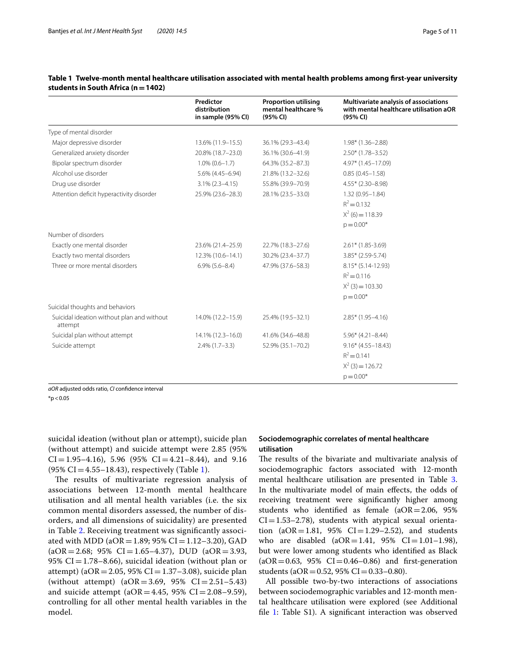|                                                       | Predictor<br>distribution<br>in sample (95% CI) | <b>Proportion utilising</b><br>mental healthcare %<br>(95% CI) | Multivariate analysis of associations<br>with mental healthcare utilisation aOR<br>(95% CI) |
|-------------------------------------------------------|-------------------------------------------------|----------------------------------------------------------------|---------------------------------------------------------------------------------------------|
| Type of mental disorder                               |                                                 |                                                                |                                                                                             |
| Major depressive disorder                             | 13.6% (11.9-15.5)                               | 36.1% (29.3-43.4)                                              | $1.98*$ (1.36-2.88)                                                                         |
| Generalized anxiety disorder                          | 20.8% (18.7-23.0)                               | 36.1% (30.6-41.9)                                              | $2.50*(1.78-3.52)$                                                                          |
| Bipolar spectrum disorder                             | $1.0\%$ (0.6-1.7)                               | 64.3% (35.2-87.3)                                              | 4.97* (1.45-17.09)                                                                          |
| Alcohol use disorder                                  | 5.6% (4.45-6.94)                                | 21.8% (13.2-32.6)                                              | $0.85(0.45 - 1.58)$                                                                         |
| Drug use disorder                                     | $3.1\%$ (2.3-4.15)                              | 55.8% (39.9-70.9)                                              | $4.55*$ (2.30-8.98)                                                                         |
| Attention deficit hyperactivity disorder              | 25.9% (23.6-28.3)                               | 28.1% (23.5-33.0)                                              | $1.32(0.95 - 1.84)$                                                                         |
|                                                       |                                                 |                                                                | $R^2 = 0.132$                                                                               |
|                                                       |                                                 |                                                                | $X^2$ (6) = 118.39                                                                          |
|                                                       |                                                 |                                                                | $p = 0.00*$                                                                                 |
| Number of disorders                                   |                                                 |                                                                |                                                                                             |
| Exactly one mental disorder                           | 23.6% (21.4-25.9)                               | 22.7% (18.3-27.6)                                              | $2.61*$ (1.85-3.69)                                                                         |
| Exactly two mental disorders                          | 12.3% (10.6-14.1)                               | 30.2% (23.4-37.7)                                              | $3.85*$ (2.59-5.74)                                                                         |
| Three or more mental disorders                        | $6.9\%$ $(5.6 - 8.4)$                           | 47.9% (37.6-58.3)                                              | $8.15*$ (5.14-12.93)                                                                        |
|                                                       |                                                 |                                                                | $R^2 = 0.116$                                                                               |
|                                                       |                                                 |                                                                | $X^2$ (3) = 103.30                                                                          |
|                                                       |                                                 |                                                                | $p = 0.00*$                                                                                 |
| Suicidal thoughts and behaviors                       |                                                 |                                                                |                                                                                             |
| Suicidal ideation without plan and without<br>attempt | 14.0% (12.2–15.9)                               | 25.4% (19.5-32.1)                                              | $2.85*$ (1.95-4.16)                                                                         |
| Suicidal plan without attempt                         | 14.1% (12.3-16.0)                               | 41.6% (34.6-48.8)                                              | $5.96*$ (4.21-8.44)                                                                         |
| Suicide attempt                                       | $2.4\%$ (1.7-3.3)                               | 52.9% (35.1-70.2)                                              | $9.16*(4.55 - 18.43)$                                                                       |
|                                                       |                                                 |                                                                | $R^2 = 0.141$                                                                               |
|                                                       |                                                 |                                                                | $X^2$ (3) = 126.72                                                                          |
|                                                       |                                                 |                                                                | $p = 0.00*$                                                                                 |

## <span id="page-4-0"></span>**Table 1 Twelve-month mental healthcare utilisation associated with mental health problems among frst-year university students in South Africa (n=1402)**

*aOR* adjusted odds ratio, *CI* confdence interval

 $*p < 0.05$ 

suicidal ideation (without plan or attempt), suicide plan (without attempt) and suicide attempt were 2.85 (95%  $CI = 1.95-4.16$ , 5.96 (95%  $CI = 4.21-8.44$ ), and 9.16  $(95\% \text{ CI} = 4.55 - 18.43)$  $(95\% \text{ CI} = 4.55 - 18.43)$  $(95\% \text{ CI} = 4.55 - 18.43)$ , respectively (Table 1).

The results of multivariate regression analysis of associations between 12-month mental healthcare utilisation and all mental health variables (i.e. the six common mental disorders assessed, the number of disorders, and all dimensions of suicidality) are presented in Table [2.](#page-5-0) Receiving treatment was signifcantly associated with MDD (a $OR = 1.89$ ; 95% CI = 1.12–3.20), GAD  $(aOR = 2.68; 95\% \text{ CI} = 1.65 - 4.37), \text{ DUD } (aOR = 3.93,$ 95% CI=1.78–8.66), suicidal ideation (without plan or attempt) ( $aOR = 2.05$ , 95% CI $= 1.37 - 3.08$ ), suicide plan (without attempt)  $(aOR = 3.69, 95\% \text{ CI} = 2.51 - 5.43)$ and suicide attempt ( $aOR = 4.45$ , 95%  $CI = 2.08 - 9.59$ ), controlling for all other mental health variables in the model.

## **Sociodemographic correlates of mental healthcare utilisation**

The results of the bivariate and multivariate analysis of sociodemographic factors associated with 12-month mental healthcare utilisation are presented in Table [3](#page-5-1). In the multivariate model of main efects, the odds of receiving treatment were signifcantly higher among students who identified as female  $(aOR=2.06, 95\%)$  $CI = 1.53-2.78$ ), students with atypical sexual orientation  $(aOR = 1.81, 95\% \text{ CI} = 1.29 - 2.52)$ , and students who are disabled  $(aOR = 1.41, 95\% \text{ CI} = 1.01 - 1.98)$ , but were lower among students who identifed as Black  $(aOR = 0.63, 95\% \text{ CI} = 0.46 - 0.86)$  and first-generation students (aOR = 0.52, 95% CI = 0.33–0.80).

All possible two-by-two interactions of associations between sociodemographic variables and 12-month mental healthcare utilisation were explored (see Additional file [1:](#page-9-3) Table S1). A significant interaction was observed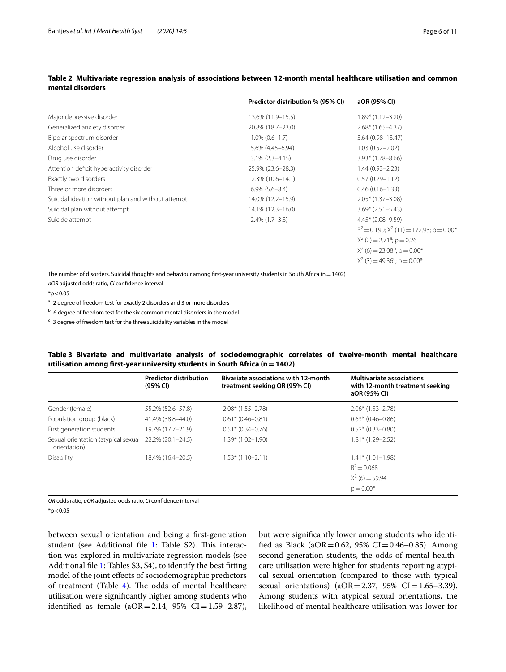|                                                    | Predictor distribution % (95% CI) | aOR (95% CI)                                           |
|----------------------------------------------------|-----------------------------------|--------------------------------------------------------|
| Major depressive disorder                          | 13.6% (11.9–15.5)                 | $1.89*$ (1.12-3.20)                                    |
| Generalized anxiety disorder                       | 20.8% (18.7-23.0)                 | $2.68*(1.65-4.37)$                                     |
| Bipolar spectrum disorder                          | $1.0\%$ (0.6-1.7)                 | 3.64 (0.98-13.47)                                      |
| Alcohol use disorder                               | 5.6% (4.45-6.94)                  | $1.03(0.52 - 2.02)$                                    |
| Drug use disorder                                  | $3.1\%$ (2.3-4.15)                | $3.93*$ (1.78-8.66)                                    |
| Attention deficit hyperactivity disorder           | 25.9% (23.6-28.3)                 | $1.44(0.93 - 2.23)$                                    |
| Exactly two disorders                              | 12.3% (10.6-14.1)                 | $0.57(0.29 - 1.12)$                                    |
| Three or more disorders                            | $6.9\%$ $(5.6-8.4)$               | $0.46(0.16 - 1.33)$                                    |
| Suicidal ideation without plan and without attempt | 14.0% (12.2-15.9)                 | $2.05*$ (1.37-3.08)                                    |
| Suicidal plan without attempt                      | 14.1% (12.3–16.0)                 | $3.69* (2.51 - 5.43)$                                  |
| Suicide attempt                                    | $2.4\%$ (1.7-3.3)                 | $4.45*$ (2.08-9.59)                                    |
|                                                    |                                   | $R^2$ = 0.190; $X^2$ (11) = 172.93; p = 0.00*          |
|                                                    |                                   | $X^2$ (2) = 2.71 <sup>a</sup> ; p = 0.26               |
|                                                    |                                   | $X^2$ (6) = 23.08 <sup>b</sup> ; p = 0.00 <sup>*</sup> |
|                                                    |                                   | $X^2$ (3) = 49.36 <sup>c</sup> ; p = 0.00 <sup>*</sup> |

## <span id="page-5-0"></span>**Table 2 Multivariate regression analysis of associations between 12-month mental healthcare utilisation and common mental disorders**

The number of disorders. Suicidal thoughts and behaviour among frst-year university students in South Africa (n=1402) *aOR* adjusted odds ratio, *CI* confdence interval

 $*p < 0.05$ 

<sup>a</sup> 2 degree of freedom test for exactly 2 disorders and 3 or more disorders

 $<sup>b</sup>$  6 degree of freedom test for the six common mental disorders in the model</sup>

 $c$  3 degree of freedom test for the three suicidality variables in the model

## <span id="page-5-1"></span>**Table 3 Bivariate and multivariate analysis of sociodemographic correlates of twelve-month mental healthcare utilisation among frst-year university students in South Africa (n=1402)**

|                                                     | <b>Predictor distribution</b><br>(95% CI) | <b>Bivariate associations with 12-month</b><br>treatment seeking OR (95% CI) | <b>Multivariate associations</b><br>with 12-month treatment seeking<br>aOR (95% CI) |
|-----------------------------------------------------|-------------------------------------------|------------------------------------------------------------------------------|-------------------------------------------------------------------------------------|
| Gender (female)                                     | 55.2% (52.6–57.8)                         | $2.08*(1.55-2.78)$                                                           | $2.06*(1.53-2.78)$                                                                  |
| Population group (black)                            | 41.4% (38.8-44.0)                         | $0.61*$ (0.46-0.81)                                                          | $0.63*$ (0.46-0.86)                                                                 |
| First generation students                           | 19.7% (17.7-21.9)                         | $0.51*$ (0.34-0.76)                                                          | $0.52*(0.33 - 0.80)$                                                                |
| Sexual orientation (atypical sexual<br>orientation) | 22.2% (20.1-24.5)                         | $1.39*$ (1.02-1.90)                                                          | $1.81*$ (1.29-2.52)                                                                 |
| Disability                                          | 18.4% (16.4-20.5)                         | $1.53*(1.10-2.11)$                                                           | $1.41*$ (1.01-1.98)                                                                 |
|                                                     |                                           |                                                                              | $R^2 = 0.068$                                                                       |
|                                                     |                                           |                                                                              | $X^2$ (6) = 59.94                                                                   |
|                                                     |                                           |                                                                              | $p = 0.00*$                                                                         |

*OR* odds ratio, *aOR* adjusted odds ratio, *CI* confdence interval

 $*p < 0.05$ 

between sexual orientation and being a frst-generation student (see Additional file [1:](#page-9-3) Table S2). This interaction was explored in multivariate regression models (see Additional fle [1](#page-9-3): Tables S3, S4), to identify the best ftting model of the joint efects of sociodemographic predictors of treatment (Table  $4$ ). The odds of mental healthcare utilisation were signifcantly higher among students who identified as female ( $aOR = 2.14$ ,  $95\%$  CI = 1.59–2.87), but were signifcantly lower among students who identified as Black (aOR=0.62, 95% CI=0.46-0.85). Among second-generation students, the odds of mental healthcare utilisation were higher for students reporting atypical sexual orientation (compared to those with typical sexual orientations) ( $aOR = 2.37$ ,  $95\%$  CI = 1.65–3.39). Among students with atypical sexual orientations, the likelihood of mental healthcare utilisation was lower for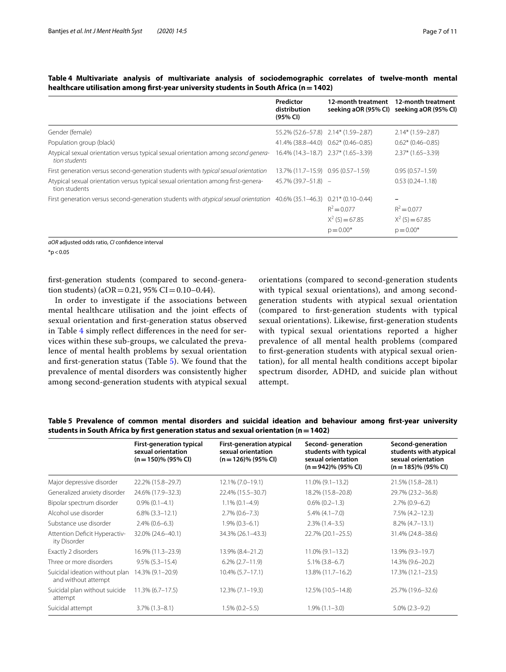|                                                                                                                         | Predictor<br>distribution<br>(95% CI) | 12-month treatment                                | 12-month treatment<br>seeking aOR (95% CI) seeking aOR (95% CI) |
|-------------------------------------------------------------------------------------------------------------------------|---------------------------------------|---------------------------------------------------|-----------------------------------------------------------------|
| Gender (female)                                                                                                         | 55.2% (52.6–57.8) 2.14* (1.59–2.87)   |                                                   | $2.14*(1.59 - 2.87)$                                            |
| Population group (black)                                                                                                | 41.4% (38.8–44.0) 0.62* (0.46–0.85)   |                                                   | $0.62*$ (0.46-0.85)                                             |
| Atypical sexual orientation versus typical sexual orientation among second genera-<br>tion students                     | 16.4% (14.3–18.7) 2.37* (1.65–3.39)   |                                                   | $2.37*$ (1.65-3.39)                                             |
| First generation versus second-generation students with typical sexual orientation                                      | 13.7% (11.7-15.9) 0.95 (0.57-1.59)    |                                                   | $0.95(0.57 - 1.59)$                                             |
| Atypical sexual orientation versus typical sexual orientation among first-genera-<br>tion students                      | $45.7\%$ (39.7-51.8) -                |                                                   | $0.53(0.24 - 1.18)$                                             |
| First generation versus second-generation students with atypical sexual orientation 40.6% (35.1-46.3) 0.21* (0.10-0.44) |                                       | $R^2 = 0.077$<br>$X^2$ (5) = 67.85<br>$p = 0.00*$ | $R^2 = 0.077$<br>$X^2$ (5) = 67.85<br>$p = 0.00*$               |

<span id="page-6-0"></span>**Table 4 Multivariate analysis of multivariate analysis of sociodemographic correlates of twelve-month mental healthcare utilisation among frst-year university students in South Africa (n=1402)**

*aOR* adjusted odds ratio, *CI* confdence interval

 $*$ p < 0.05

frst-generation students (compared to second-generation students) ( $aOR = 0.21$ ,  $95\% CI = 0.10 - 0.44$ ).

In order to investigate if the associations between mental healthcare utilisation and the joint efects of sexual orientation and frst-generation status observed in Table [4](#page-6-0) simply reflect differences in the need for services within these sub-groups, we calculated the prevalence of mental health problems by sexual orientation and frst-generation status (Table [5\)](#page-6-1). We found that the prevalence of mental disorders was consistently higher among second-generation students with atypical sexual

orientations (compared to second-generation students with typical sexual orientations), and among secondgeneration students with atypical sexual orientation (compared to frst-generation students with typical sexual orientations). Likewise, frst-generation students with typical sexual orientations reported a higher prevalence of all mental health problems (compared to frst-generation students with atypical sexual orientation), for all mental health conditions accept bipolar spectrum disorder, ADHD, and suicide plan without attempt.

|                                                       | <b>First-generation typical</b><br>sexual orientation<br>$(n = 150)$ % (95% CI) | First-generation atypical<br>sexual orientation<br>$(n = 126)\%$ (95% CI) | Second-generation<br>students with typical<br>sexual orientation<br>$(n = 942)$ % (95% CI) | Second-generation<br>students with atypical<br>sexual orientation<br>$(n = 185)$ % (95% CI) |
|-------------------------------------------------------|---------------------------------------------------------------------------------|---------------------------------------------------------------------------|--------------------------------------------------------------------------------------------|---------------------------------------------------------------------------------------------|
| Major depressive disorder                             | 22.2% (15.8-29.7)                                                               | 12.1% (7.0-19.1)                                                          | $11.0\% (9.1 - 13.2)$                                                                      | 21.5% (15.8-28.1)                                                                           |
| Generalized anxiety disorder                          | 24.6% (17.9-32.3)                                                               | 22.4% (15.5-30.7)                                                         | 18.2% (15.8-20.8)                                                                          | 29.7% (23.2-36.8)                                                                           |
| Bipolar spectrum disorder                             | $0.9\%$ $(0.1-4.1)$                                                             | $1.1\%$ (0.1-4.9)                                                         | $0.6\%$ $(0.2-1.3)$                                                                        | $2.7\%$ (0.9-6.2)                                                                           |
| Alcohol use disorder                                  | $6.8\%$ $(3.3-12.1)$                                                            | $2.7\%$ (0.6-7.3)                                                         | $5.4\%$ (4.1-7.0)                                                                          | $7.5\%$ (4.2-12.3)                                                                          |
| Substance use disorder                                | $2.4\%$ (0.6-6.3)                                                               | $1.9\%$ (0.3-6.1)                                                         | $2.3\%$ (1.4-3.5)                                                                          | $8.2\%$ (4.7-13.1)                                                                          |
| Attention Deficit Hyperactiv-<br>ity Disorder         | 32.0% (24.6-40.1)                                                               | 34.3% (26.1-43.3)                                                         | 22.7% (20.1-25.5)                                                                          | 31.4% (24.8-38.6)                                                                           |
| Exactly 2 disorders                                   | 16.9% (11.3–23.9)                                                               | 13.9% (8.4-21.2)                                                          | $11.0\% (9.1 - 13.2)$                                                                      | 13.9% (9.3-19.7)                                                                            |
| Three or more disorders                               | $9.5\%$ (5.3-15.4)                                                              | $6.2\%$ (2.7-11.9)                                                        | $5.1\%$ (3.8-6.7)                                                                          | 14.3% (9.6-20.2)                                                                            |
| Suicidal ideation without plan<br>and without attempt | 14.3% (9.1-20.9)                                                                | $10.4\%$ (5.7-17.1)                                                       | 13.8% (11.7-16.2)                                                                          | 17.3% (12.1-23.5)                                                                           |
| Suicidal plan without suicide<br>attempt              | $11.3\%$ (6.7-17.5)                                                             | $12.3\% (7.1 - 19.3)$                                                     | 12.5% (10.5-14.8)                                                                          | 25.7% (19.6-32.6)                                                                           |
| Suicidal attempt                                      | $3.7\%$ (1.3-8.1)                                                               | $1.5\%$ (0.2-5.5)                                                         | $1.9\%$ $(1.1 - 3.0)$                                                                      | $5.0\%$ (2.3-9.2)                                                                           |

<span id="page-6-1"></span>**Table 5 Prevalence of common mental disorders and suicidal ideation and behaviour among frst-year university students in South Africa by frst generation status and sexual orientation (n=1402)**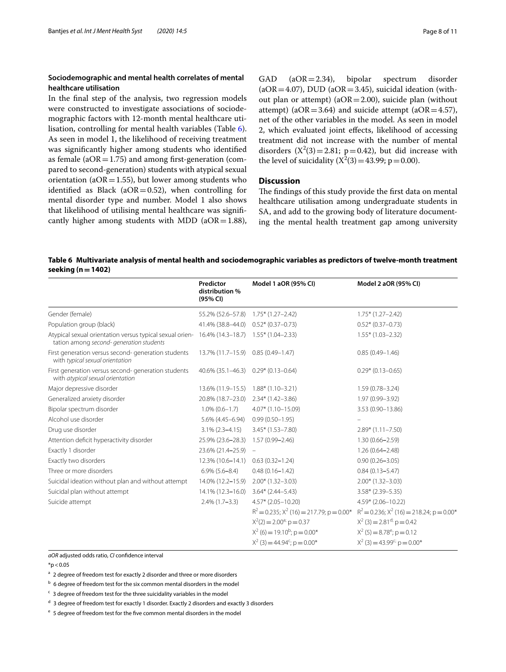## **Sociodemographic and mental health correlates of mental healthcare utilisation**

In the fnal step of the analysis, two regression models were constructed to investigate associations of sociodemographic factors with 12-month mental healthcare utilisation, controlling for mental health variables (Table [6](#page-7-0)). As seen in model 1, the likelihood of receiving treatment was signifcantly higher among students who identifed as female ( $aOR = 1.75$ ) and among first-generation (compared to second-generation) students with atypical sexual orientation ( $aOR = 1.55$ ), but lower among students who identified as Black ( $aOR = 0.52$ ), when controlling for mental disorder type and number. Model 1 also shows that likelihood of utilising mental healthcare was signifcantly higher among students with MDD ( $aOR = 1.88$ ), GAD  $(aOR = 2.34)$ , bipolar spectrum disorder (aOR=4.07), DUD (aOR=3.45), suicidal ideation (without plan or attempt) ( $aOR = 2.00$ ), suicide plan (without attempt) (aOR=3.64) and suicide attempt (aOR=4.57), net of the other variables in the model. As seen in model 2, which evaluated joint efects, likelihood of accessing treatment did not increase with the number of mental disorders  $(X^2(3) = 2.81; p = 0.42)$ , but did increase with the level of suicidality  $(X^2(3) = 43.99; p = 0.00)$ .

## **Discussion**

The findings of this study provide the first data on mental healthcare utilisation among undergraduate students in SA, and add to the growing body of literature documenting the mental health treatment gap among university

<span id="page-7-0"></span>**Table 6 Multivariate analysis of mental health and sociodemographic variables as predictors of twelve-month treatment seeking (n=1402)**

|                                                                                                                                          | Predictor<br>distribution %<br>(95% CI) | Model 1 aOR (95% CI)                                                                                | Model 2 aOR (95% CI)                                  |
|------------------------------------------------------------------------------------------------------------------------------------------|-----------------------------------------|-----------------------------------------------------------------------------------------------------|-------------------------------------------------------|
| Gender (female)                                                                                                                          | 55.2% (52.6–57.8)                       | $1.75*$ (1.27–2.42)                                                                                 | $1.75*$ (1.27-2.42)                                   |
| Population group (black)                                                                                                                 | 41.4% (38.8-44.0)                       | $0.52*(0.37-0.73)$                                                                                  | $0.52*(0.37-0.73)$                                    |
| Atypical sexual orientation versus typical sexual orien- 16.4% (14.3–18.7) 1.55* (1.04–2.33)<br>tation among second- generation students |                                         |                                                                                                     | $1.55*$ (1.03-2.32)                                   |
| First generation versus second- generation students<br>with typical sexual orientation                                                   | 13.7% (11.7–15.9)                       | $0.85(0.49 - 1.47)$                                                                                 | $0.85(0.49 - 1.46)$                                   |
| First generation versus second- generation students<br>with atypical sexual orientation                                                  | 40.6% (35.1-46.3)                       | $0.29*(0.13-0.64)$                                                                                  | $0.29*(0.13 - 0.65)$                                  |
| Major depressive disorder                                                                                                                | 13.6% (11.9-15.5)                       | $1.88*(1.10-3.21)$                                                                                  | $1.59(0.78 - 3.24)$                                   |
| Generalized anxiety disorder                                                                                                             | 20.8% (18.7-23.0)                       | $2.34*(1.42-3.86)$                                                                                  | 1.97 (0.99-3.92)                                      |
| Bipolar spectrum disorder                                                                                                                | $1.0\%$ (0.6-1.7)                       | $4.07*$ (1.10-15.09)                                                                                | 3.53 (0.90-13.86)                                     |
| Alcohol use disorder                                                                                                                     | $5.6\%$ (4.45-6.94)                     | $0.99(0.50 - 1.95)$                                                                                 |                                                       |
| Drug use disorder                                                                                                                        | $3.1\%$ (2.3-4.15)                      | $3.45*$ (1.53-7.80)                                                                                 | $2.89*$ (1.11-7.50)                                   |
| Attention deficit hyperactivity disorder                                                                                                 | 25.9% (23.6-28.3)                       | 1.57 (0.99-2.46)                                                                                    | $1.30(0.66 - 2.59)$                                   |
| Exactly 1 disorder                                                                                                                       | 23.6% (21.4-25.9) -                     |                                                                                                     | $1.26(0.64 - 2.48)$                                   |
| Exactly two disorders                                                                                                                    | 12.3% (10.6-14.1)                       | $0.63(0.32 - 1.24)$                                                                                 | $0.90(0.26 - 3.05)$                                   |
| Three or more disorders                                                                                                                  | $6.9\%$ $(5.6 - 8.4)$                   | $0.48(0.16 - 1.42)$                                                                                 | $0.84(0.13 - 5.47)$                                   |
| Suicidal ideation without plan and without attempt                                                                                       | 14.0% (12.2-15.9)                       | $2.00*$ (1.32-3.03)                                                                                 | $2.00*$ (1.32-3.03)                                   |
| Suicidal plan without attempt                                                                                                            | 14.1% (12.3–16.0) 3.64* (2.44–5.43)     |                                                                                                     | $3.58*(2.39-5.35)$                                    |
| Suicide attempt                                                                                                                          | $2.4\%$ (1.7-3.3)                       | $4.57*$ (2.05-10.20)                                                                                | $4.59*$ (2.06-10.22)                                  |
|                                                                                                                                          |                                         | $R^2 = 0.235$ ; $X^2$ (16) = 217.79; $p = 0.00^*$ $R^2 = 0.236$ ; $X^2$ (16) = 218.24; $p = 0.00^*$ |                                                       |
|                                                                                                                                          |                                         | $X^2(2) = 2.00^{a}$ ; p = 0.37                                                                      | $X^2$ (3) = 2.81 <sup>d;</sup> p = 0.42               |
|                                                                                                                                          |                                         | $X^2$ (6) = 19.10 <sup>b</sup> ; p = 0.00 <sup>*</sup>                                              | $X^2$ (5) = 8.78 <sup>e</sup> ; p = 0.12              |
|                                                                                                                                          |                                         | $X^2$ (3) = 44.94 <sup>c</sup> ; p = 0.00 <sup>*</sup>                                              | $X^2$ (3) = 43.99 <sup>c;</sup> p = 0.00 <sup>*</sup> |

*aOR* adjusted odds ratio, *CI* confdence interval

 $*p < 0.05$ 

<sup>a</sup> 2 degree of freedom test for exactly 2 disorder and three or more disorders

 $<sup>b</sup>$  6 degree of freedom test for the six common mental disorders in the model</sup>

 $c$  3 degree of freedom test for the three suicidality variables in the model

<sup>d</sup> 3 degree of freedom test for exactly 1 disorder. Exactly 2 disorders and exactly 3 disorders

<sup>e</sup> 5 degree of freedom test for the fve common mental disorders in the model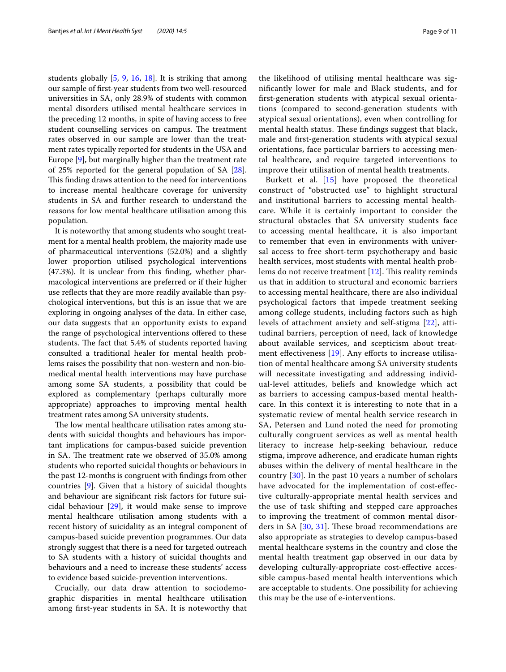students globally [\[5](#page-10-1), [9,](#page-10-3) [16](#page-10-10), [18\]](#page-10-11). It is striking that among our sample of frst-year students from two well-resourced universities in SA, only 28.9% of students with common mental disorders utilised mental healthcare services in the preceding 12 months, in spite of having access to free student counselling services on campus. The treatment rates observed in our sample are lower than the treatment rates typically reported for students in the USA and Europe [[9\]](#page-10-3), but marginally higher than the treatment rate of 25% reported for the general population of SA [\[28](#page-10-24)]. This finding draws attention to the need for interventions to increase mental healthcare coverage for university students in SA and further research to understand the reasons for low mental healthcare utilisation among this population.

It is noteworthy that among students who sought treatment for a mental health problem, the majority made use of pharmaceutical interventions (52.0%) and a slightly lower proportion utilised psychological interventions (47.3%). It is unclear from this fnding, whether pharmacological interventions are preferred or if their higher use refects that they are more readily available than psychological interventions, but this is an issue that we are exploring in ongoing analyses of the data. In either case, our data suggests that an opportunity exists to expand the range of psychological interventions ofered to these students. The fact that 5.4% of students reported having consulted a traditional healer for mental health problems raises the possibility that non-western and non-biomedical mental health interventions may have purchase among some SA students, a possibility that could be explored as complementary (perhaps culturally more appropriate) approaches to improving mental health treatment rates among SA university students.

The low mental healthcare utilisation rates among students with suicidal thoughts and behaviours has important implications for campus-based suicide prevention in SA. The treatment rate we observed of 35.0% among students who reported suicidal thoughts or behaviours in the past 12-months is congruent with fndings from other countries [\[9](#page-10-3)]. Given that a history of suicidal thoughts and behaviour are signifcant risk factors for future suicidal behaviour [[29](#page-10-25)], it would make sense to improve mental healthcare utilisation among students with a recent history of suicidality as an integral component of campus-based suicide prevention programmes. Our data strongly suggest that there is a need for targeted outreach to SA students with a history of suicidal thoughts and behaviours and a need to increase these students' access to evidence based suicide-prevention interventions.

Crucially, our data draw attention to sociodemographic disparities in mental healthcare utilisation among frst-year students in SA. It is noteworthy that the likelihood of utilising mental healthcare was signifcantly lower for male and Black students, and for frst-generation students with atypical sexual orientations (compared to second-generation students with atypical sexual orientations), even when controlling for mental health status. These findings suggest that black, male and frst-generation students with atypical sexual orientations, face particular barriers to accessing mental healthcare, and require targeted interventions to improve their utilisation of mental health treatments.

Burkett et al. [\[15\]](#page-10-9) have proposed the theoretical construct of "obstructed use" to highlight structural and institutional barriers to accessing mental healthcare. While it is certainly important to consider the structural obstacles that SA university students face to accessing mental healthcare, it is also important to remember that even in environments with universal access to free short-term psychotherapy and basic health services, most students with mental health problems do not receive treatment  $[12]$ . This reality reminds us that in addition to structural and economic barriers to accessing mental healthcare, there are also individual psychological factors that impede treatment seeking among college students, including factors such as high levels of attachment anxiety and self-stigma [[22\]](#page-10-18), attitudinal barriers, perception of need, lack of knowledge about available services, and scepticism about treatment effectiveness  $[19]$  $[19]$ . Any efforts to increase utilisation of mental healthcare among SA university students will necessitate investigating and addressing individual-level attitudes, beliefs and knowledge which act as barriers to accessing campus-based mental healthcare. In this context it is interesting to note that in a systematic review of mental health service research in SA, Petersen and Lund noted the need for promoting culturally congruent services as well as mental health literacy to increase help-seeking behaviour, reduce stigma, improve adherence, and eradicate human rights abuses within the delivery of mental healthcare in the country [[30](#page-10-26)]. In the past 10 years a number of scholars have advocated for the implementation of cost-efective culturally-appropriate mental health services and the use of task shifting and stepped care approaches to improving the treatment of common mental disorders in SA  $[30, 31]$  $[30, 31]$  $[30, 31]$  $[30, 31]$ . These broad recommendations are also appropriate as strategies to develop campus-based mental healthcare systems in the country and close the mental health treatment gap observed in our data by developing culturally-appropriate cost-efective accessible campus-based mental health interventions which are acceptable to students. One possibility for achieving this may be the use of e-interventions.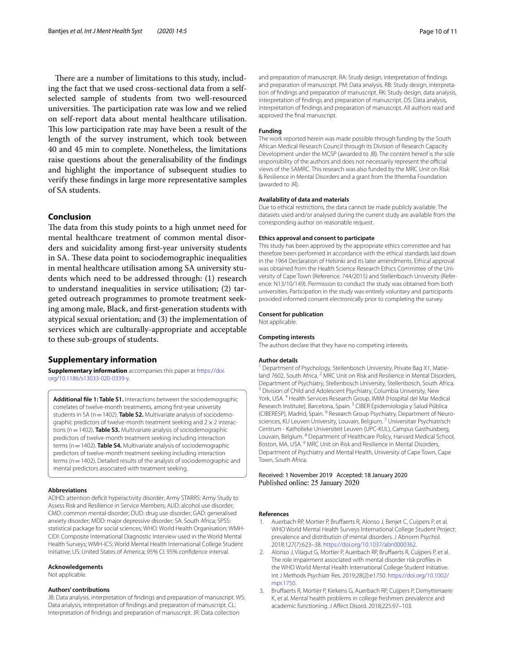There are a number of limitations to this study, including the fact that we used cross-sectional data from a selfselected sample of students from two well-resourced universities. The participation rate was low and we relied on self-report data about mental healthcare utilisation. This low participation rate may have been a result of the length of the survey instrument, which took between 40 and 45 min to complete. Nonetheless, the limitations raise questions about the generalisability of the fndings and highlight the importance of subsequent studies to verify these fndings in large more representative samples of SA students.

## **Conclusion**

The data from this study points to a high unmet need for mental healthcare treatment of common mental disorders and suicidality among frst-year university students in SA. These data point to sociodemographic inequalities in mental healthcare utilisation among SA university students which need to be addressed through: (1) research to understand inequalities in service utilisation; (2) targeted outreach programmes to promote treatment seeking among male, Black, and frst-generation students with atypical sexual orientation; and (3) the implementation of services which are culturally-appropriate and acceptable to these sub-groups of students.

#### **Supplementary information**

**Supplementary information** accompanies this paper at [https://doi.](https://doi.org/10.1186/s13033-020-0339-y) [org/10.1186/s13033-020-0339-y.](https://doi.org/10.1186/s13033-020-0339-y)

<span id="page-9-3"></span>**Additional fle 1: Table S1.** Interactions between the sociodemographic correlates of twelve-month treatments, among frst-year university students in SA (n = 1402). **Table S2.** Multivariate analysis of sociodemographic predictors of twelve-month treatment seeking and  $2 \times 2$  interactions (n=1402). **Table S3.** Multivariate analysis of sociodemographic predictors of twelve-month treatment seeking including interaction terms (n=1402). **Table S4.** Multivariate analysis of sociodemographic predictors of twelve-month treatment seeking including interaction terms (n = 1402). Detailed results of the analysis of sociodemographic and mental predictors associated with treatment seeking.

#### **Abbreviations**

ADHD: attention defcit hyperactivity disorder; Army STARRS: Army Study to Assess Risk and Resilience in Service Members; AUD: alcohol use disorder; CMD: common mental disorder; DUD: drug use disorder; GAD: generalised anxiety disorder; MDD: major depressive disorder; SA: South Africa; SPSS: statistical package for social sciences; WHO: World Health Organisation; WMH-CIDI: Composite International Diagnostic Interview used in the World Mental Health Surveys; WMH-ICS: World Mental Health International College Student Initiative; US: United States of America; 95% CI: 95% confdence interval.

#### **Acknowledgements**

Not applicable.

#### **Authors' contributions**

JB: Data analysis, interpretation of fndings and preparation of manuscript. WS: Data analysis, interpretation of fndings and preparation of manuscript. CL: Interpretation of fndings and preparation of manuscript. JR: Data collection

and preparation of manuscript. RA: Study design, interpretation of fndings and preparation of manuscript. PM: Data analysis. RB: Study design, interpretation of fndings and preparation of manuscript. RK: Study design, data analysis, interpretation of fndings and preparation of manuscript. DS: Data analysis, interpretation of fndings and preparation of manuscript. All authors read and approved the fnal manuscript.

#### **Funding**

The work reported herein was made possible through funding by the South African Medical Research Council through its Division of Research Capacity Development under the MCSP (awarded to JB). The content hereof is the sole responsibility of the authors and does not necessarily represent the official views of the SAMRC. This research was also funded by the MRC Unit on Risk & Resilience in Mental Disorders and a grant from the Ithemba Foundation (awarded to JR).

#### **Availability of data and materials**

Due to ethical restrictions, the data cannot be made publicly available. The datasets used and/or analysed during the current study are available from the corresponding author on reasonable request.

#### **Ethics approval and consent to participate**

This study has been approved by the appropriate ethics committee and has therefore been performed in accordance with the ethical standards laid down in the 1964 Declaration of Helsinki and its later amendments. Ethical approval was obtained from the Health Science Research Ethics Committee of the University of Cape Town (Reference: 744/2015) and Stellenbosch University (Reference: N13/10/149). Permission to conduct the study was obtained from both universities. Participation in the study was entirely voluntary and participants provided informed consent electronically prior to completing the survey.

#### **Consent for publication** Not applicable.

#### **Competing interests**

The authors declare that they have no competing interests.

#### **Author details**

<sup>1</sup> Department of Psychology, Stellenbosch University, Private Bag X1, Matieland 7602, South Africa.<sup>2</sup> MRC Unit on Risk and Resilience in Mental Disorders, Department of Psychiatry, Stellenbosch University, Stellenbosch <sup>3</sup> Division of Child and Adolescent Psychiatry, Columbia University, New York, USA. <sup>4</sup> Health Services Research Group, IMIM (Hospital del Mar Medical Research Institute), Barcelona, Spain. 5 CIBER Epidemiología y Salud Pública (CIBERESP), Madrid, Spain. <sup>6</sup> Research Group Psychiatry, Department of Neurosciences, KU Leuven University, Louvain, Belgium. <sup>7</sup> Universitair Psychiatrisch Centrum - Katholieke Universiteit Leuven (UPC-KUL), Campus Gasthuisberg, Louvain, Belgium. 8 Department of Healthcare Policy, Harvard Medical School, Boston, MA, USA. 9 MRC Unit on Risk and Resilience in Mental Disorders, Department of Psychiatry and Mental Health, University of Cape Town, Cape Town, South Africa.

#### Received: 1 November 2019 Accepted: 18 January 2020 Published online: 25 January 2020

#### **References**

- <span id="page-9-0"></span>1. Auerbach RP, Mortier P, Brufaerts R, Alonso J, Benjet C, Cuijpers P, et al. WHO World Mental Health Surveys International College Student Project: prevalence and distribution of mental disorders. J Abnorm Psychol. 2018;127(7):623–38. [https://doi.org/10.1037/abn0000362.](https://doi.org/10.1037/abn0000362)
- <span id="page-9-1"></span>2. Alonso J, Vilagut G, Mortier P, Auerbach RP, Brufaerts R, Cuijpers P, et al. The role impairment associated with mental disorder risk profles in the WHO World Mental Health International College Student Initiative. Int J Methods Psychiatr Res. 2019;28(2):e1750. [https://doi.org/10.1002/](https://doi.org/10.1002/mpr.1750) [mpr.1750.](https://doi.org/10.1002/mpr.1750)
- <span id="page-9-2"></span>3. Brufaerts R, Mortier P, Kiekens G, Auerbach RP, Cuijpers P, Demyttenaere K, et al. Mental health problems in college freshmen: prevalence and academic functioning. J Afect Disord. 2018;225:97–103.